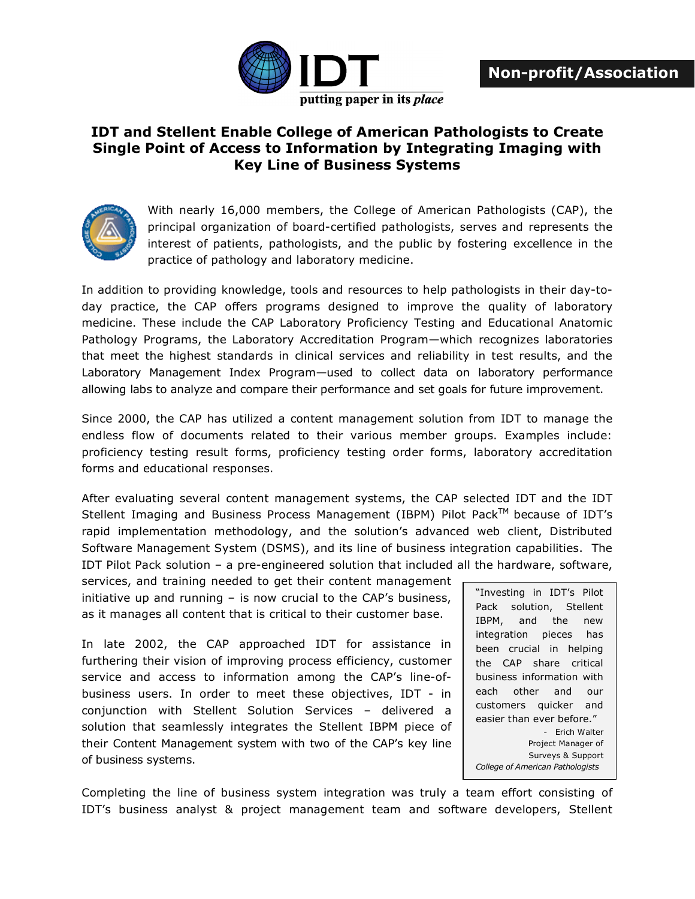

## **IDT and Stellent Enable College of American Pathologists to Create Single Point of Access to Information by Integrating Imaging with Key Line of Business Systems**



With nearly 16,000 members, the College of American Pathologists (CAP), the principal organization of board-certified pathologists, serves and represents the interest of patients, pathologists, and the public by fostering excellence in the practice of pathology and laboratory medicine.

In addition to providing knowledge, tools and resources to help pathologists in their day-today practice, the CAP offers programs designed to improve the quality of laboratory medicine. These include the CAP Laboratory Proficiency Testing and Educational Anatomic Pathology Programs, the Laboratory Accreditation Program—which recognizes laboratories that meet the highest standards in clinical services and reliability in test results, and the Laboratory Management Index Program—used to collect data on laboratory performance allowing labs to analyze and compare their performance and set goals for future improvement.

Since 2000, the CAP has utilized a content management solution from IDT to manage the endless flow of documents related to their various member groups. Examples include: proficiency testing result forms, proficiency testing order forms, laboratory accreditation forms and educational responses.

After evaluating several content management systems, the CAP selected IDT and the IDT Stellent Imaging and Business Process Management (IBPM) Pilot Pack™ because of IDT's rapid implementation methodology, and the solution's advanced web client, Distributed Software Management System (DSMS), and its line of business integration capabilities. The IDT Pilot Pack solution – a pre-engineered solution that included all the hardware, software,

services, and training needed to get their content management initiative up and running – is now crucial to the CAP's business, as it manages all content that is critical to their customer base.

In late 2002, the CAP approached IDT for assistance in furthering their vision of improving process efficiency, customer service and access to information among the CAP's line-ofbusiness users. In order to meet these objectives, IDT - in conjunction with Stellent Solution Services – delivered a solution that seamlessly integrates the Stellent IBPM piece of their Content Management system with two of the CAP's key line of business systems.

"Investing in IDT's Pilot Pack solution, Stellent IBPM, and the new integration pieces has been crucial in helping the CAP share critical business information with each other and our customers quicker and easier than ever before." - Erich Walter Project Manager of Surveys & Support *College of American Pathologists*

Completing the line of business system integration was truly a team effort consisting of IDT's business analyst & project management team and software developers, Stellent